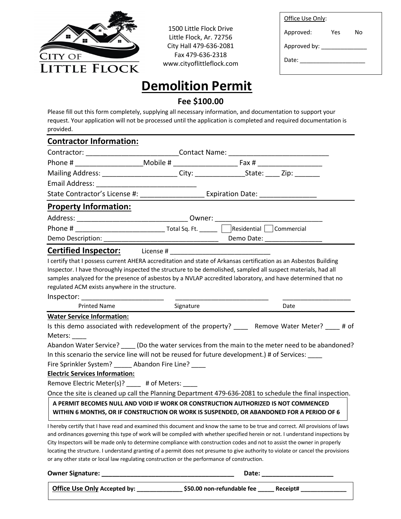

1500 Little Flock Drive Little Flock, Ar. 72756 City Hall 479-636-2081 Fax 479-636-2318 www.cityoflittleflock.com

| Office Use Only: |     |    |
|------------------|-----|----|
| Approved:        | Yes | N٥ |
| Approved by:     |     |    |
| Date:            |     |    |
|                  |     |    |

## **Demolition Permit**

## **Fee \$100.00**

Please fill out this form completely, supplying all necessary information, and documentation to support your request. Your application will not be processed until the application is completed and required documentation is provided.

| <b>Contractor Information:</b>                                                                                                                                                                                                                                                  |  |            |                                                                                                                                                                                                                                                                                                                                                                                                    |  |
|---------------------------------------------------------------------------------------------------------------------------------------------------------------------------------------------------------------------------------------------------------------------------------|--|------------|----------------------------------------------------------------------------------------------------------------------------------------------------------------------------------------------------------------------------------------------------------------------------------------------------------------------------------------------------------------------------------------------------|--|
| Contractor: ______________________________Contact Name: ________________________                                                                                                                                                                                                |  |            |                                                                                                                                                                                                                                                                                                                                                                                                    |  |
|                                                                                                                                                                                                                                                                                 |  |            |                                                                                                                                                                                                                                                                                                                                                                                                    |  |
| Mailing Address: City: City: City: State: Zip:                                                                                                                                                                                                                                  |  |            |                                                                                                                                                                                                                                                                                                                                                                                                    |  |
| Email Address: National Address:                                                                                                                                                                                                                                                |  |            |                                                                                                                                                                                                                                                                                                                                                                                                    |  |
|                                                                                                                                                                                                                                                                                 |  |            |                                                                                                                                                                                                                                                                                                                                                                                                    |  |
| <b>Property Information:</b>                                                                                                                                                                                                                                                    |  |            |                                                                                                                                                                                                                                                                                                                                                                                                    |  |
|                                                                                                                                                                                                                                                                                 |  |            |                                                                                                                                                                                                                                                                                                                                                                                                    |  |
|                                                                                                                                                                                                                                                                                 |  |            |                                                                                                                                                                                                                                                                                                                                                                                                    |  |
| Demo Description: __________                                                                                                                                                                                                                                                    |  | Demo Date: |                                                                                                                                                                                                                                                                                                                                                                                                    |  |
|                                                                                                                                                                                                                                                                                 |  |            |                                                                                                                                                                                                                                                                                                                                                                                                    |  |
| Inspector. I have thoroughly inspected the structure to be demolished, sampled all suspect materials, had all<br>samples analyzed for the presence of asbestos by a NVLAP accredited laboratory, and have determined that no<br>regulated ACM exists anywhere in the structure. |  |            |                                                                                                                                                                                                                                                                                                                                                                                                    |  |
| <b>Printed Name</b>                                                                                                                                                                                                                                                             |  | Signature  | Date                                                                                                                                                                                                                                                                                                                                                                                               |  |
| <b>Water Service Information:</b>                                                                                                                                                                                                                                               |  |            |                                                                                                                                                                                                                                                                                                                                                                                                    |  |
| Is this demo associated with redevelopment of the property? ______ Remove Water Meter? ____ # of                                                                                                                                                                                |  |            |                                                                                                                                                                                                                                                                                                                                                                                                    |  |
| Meters:                                                                                                                                                                                                                                                                         |  |            |                                                                                                                                                                                                                                                                                                                                                                                                    |  |
|                                                                                                                                                                                                                                                                                 |  |            | Abandon Water Service? _____ (Do the water services from the main to the meter need to be abandoned?                                                                                                                                                                                                                                                                                               |  |
| In this scenario the service line will not be reused for future development.) # of Services: ____                                                                                                                                                                               |  |            |                                                                                                                                                                                                                                                                                                                                                                                                    |  |
| Fire Sprinkler System? ______ Abandon Fire Line? _____                                                                                                                                                                                                                          |  |            |                                                                                                                                                                                                                                                                                                                                                                                                    |  |
| <b>Electric Services Information:</b><br>Remove Electric Meter(s)? ____ # of Meters: ____                                                                                                                                                                                       |  |            |                                                                                                                                                                                                                                                                                                                                                                                                    |  |
|                                                                                                                                                                                                                                                                                 |  |            | Once the site is cleaned up call the Planning Department 479-636-2081 to schedule the final inspection.                                                                                                                                                                                                                                                                                            |  |
| A PERMIT BECOMES NULL AND VOID IF WORK OR CONSTRUCTION AUTHORIZED IS NOT COMMENCED<br>WITHIN 6 MONTHS, OR IF CONSTRUCTION OR WORK IS SUSPENDED, OR ABANDONED FOR A PERIOD OF 6                                                                                                  |  |            |                                                                                                                                                                                                                                                                                                                                                                                                    |  |
| City Inspectors will be made only to determine compliance with construction codes and not to assist the owner in properly<br>or any other state or local law regulating construction or the performance of construction.                                                        |  |            | I hereby certify that I have read and examined this document and know the same to be true and correct. All provisions of laws<br>and ordinances governing this type of work will be compiled with whether specified herein or not. I understand inspections by<br>locating the structure. I understand granting of a permit does not presume to give authority to violate or cancel the provisions |  |
| <b>Owner Signature:</b>                                                                                                                                                                                                                                                         |  | Date:      |                                                                                                                                                                                                                                                                                                                                                                                                    |  |

| $\vert$ Office Use Only Accepted by: | \$50.00 non-refundable fee | Receipt# |
|--------------------------------------|----------------------------|----------|
|                                      |                            |          |